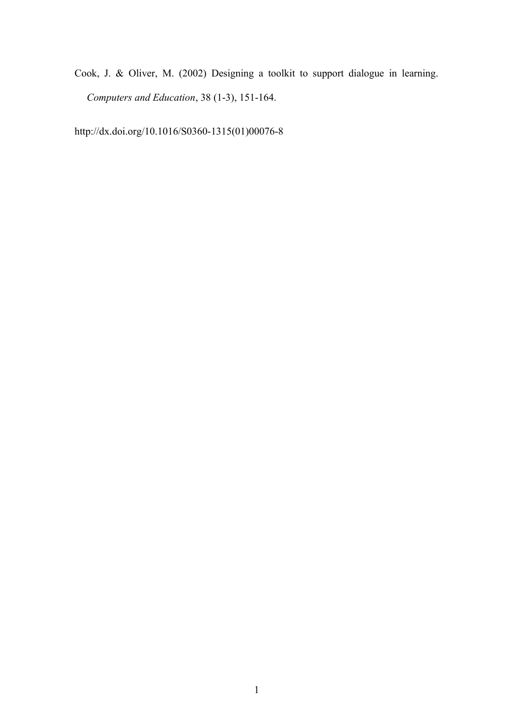Cook, J. & Oliver, M. (2002) Designing a toolkit to support dialogue in learning. *Computers and Education*, 38 (1-3), 151-164.

http://dx.doi.org/10.1016/S0360-1315(01)00076-8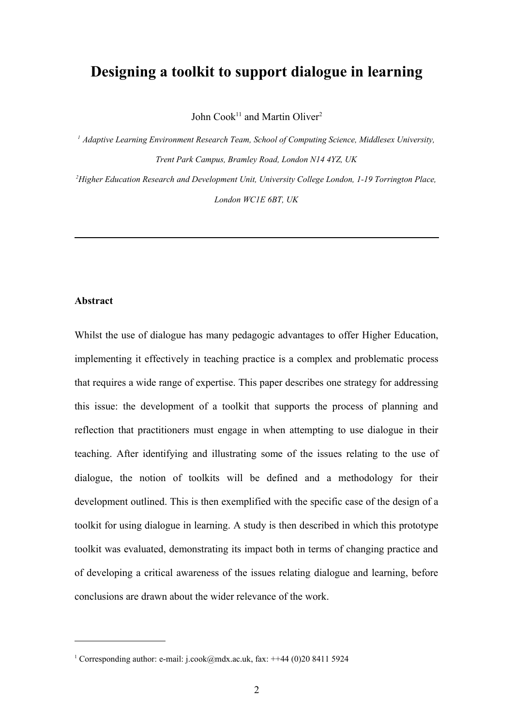# **Designing a toolkit to support dialogue in learning**

John Cook<sup>[11](#page-1-0)</sup> and Martin Oliver<sup>2</sup>

*<sup>1</sup> Adaptive Learning Environment Research Team, School of Computing Science, Middlesex University, Trent Park Campus, Bramley Road, London N14 4YZ, UK <sup>2</sup>Higher Education Research and Development Unit, University College London, 1-19 Torrington Place,*

*London WC1E 6BT, UK*

#### **Abstract**

Whilst the use of dialogue has many pedagogic advantages to offer Higher Education, implementing it effectively in teaching practice is a complex and problematic process that requires a wide range of expertise. This paper describes one strategy for addressing this issue: the development of a toolkit that supports the process of planning and reflection that practitioners must engage in when attempting to use dialogue in their teaching. After identifying and illustrating some of the issues relating to the use of dialogue, the notion of toolkits will be defined and a methodology for their development outlined. This is then exemplified with the specific case of the design of a toolkit for using dialogue in learning. A study is then described in which this prototype toolkit was evaluated, demonstrating its impact both in terms of changing practice and of developing a critical awareness of the issues relating dialogue and learning, before conclusions are drawn about the wider relevance of the work.

<span id="page-1-0"></span><sup>&</sup>lt;sup>1</sup> Corresponding author: e-mail: j.cook@mdx.ac.uk, fax: ++44 (0)20 8411 5924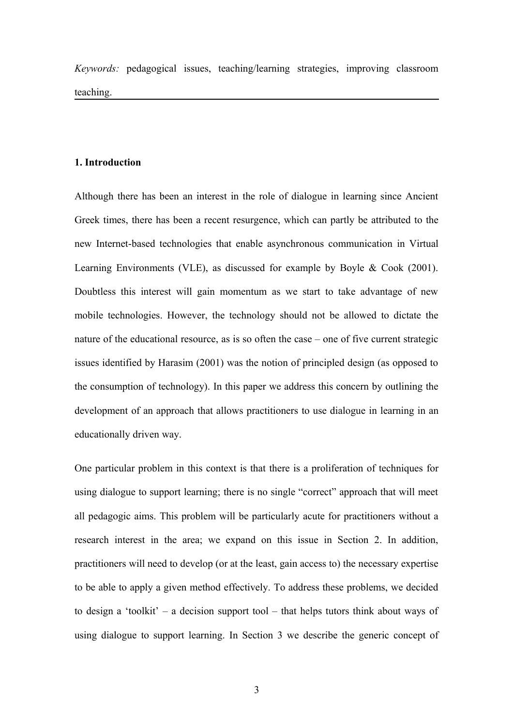*Keywords:* pedagogical issues, teaching/learning strategies, improving classroom teaching.

#### **1. Introduction**

Although there has been an interest in the role of dialogue in learning since Ancient Greek times, there has been a recent resurgence, which can partly be attributed to the new Internet-based technologies that enable asynchronous communication in Virtual Learning Environments (VLE), as discussed for example by Boyle & Cook (2001). Doubtless this interest will gain momentum as we start to take advantage of new mobile technologies. However, the technology should not be allowed to dictate the nature of the educational resource, as is so often the case – one of five current strategic issues identified by Harasim (2001) was the notion of principled design (as opposed to the consumption of technology). In this paper we address this concern by outlining the development of an approach that allows practitioners to use dialogue in learning in an educationally driven way.

One particular problem in this context is that there is a proliferation of techniques for using dialogue to support learning; there is no single "correct" approach that will meet all pedagogic aims. This problem will be particularly acute for practitioners without a research interest in the area; we expand on this issue in Section 2. In addition, practitioners will need to develop (or at the least, gain access to) the necessary expertise to be able to apply a given method effectively. To address these problems, we decided to design a 'toolkit' – a decision support tool – that helps tutors think about ways of using dialogue to support learning. In Section 3 we describe the generic concept of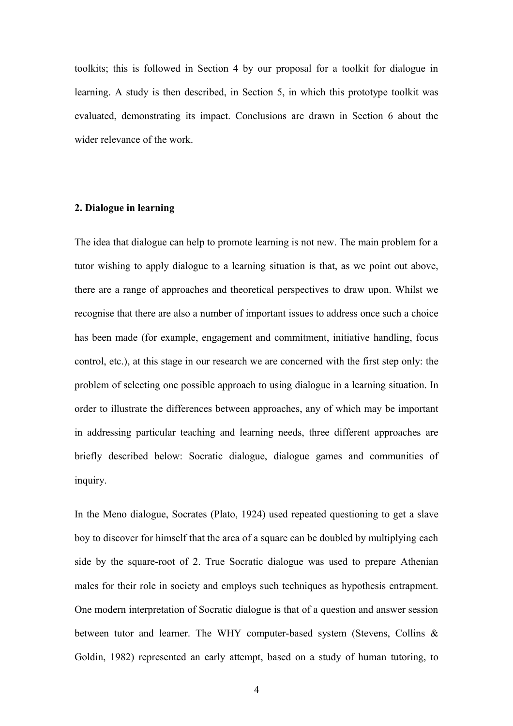toolkits; this is followed in Section 4 by our proposal for a toolkit for dialogue in learning. A study is then described, in Section 5, in which this prototype toolkit was evaluated, demonstrating its impact. Conclusions are drawn in Section 6 about the wider relevance of the work.

# **2. Dialogue in learning**

The idea that dialogue can help to promote learning is not new. The main problem for a tutor wishing to apply dialogue to a learning situation is that, as we point out above, there are a range of approaches and theoretical perspectives to draw upon. Whilst we recognise that there are also a number of important issues to address once such a choice has been made (for example, engagement and commitment, initiative handling, focus control, etc.), at this stage in our research we are concerned with the first step only: the problem of selecting one possible approach to using dialogue in a learning situation. In order to illustrate the differences between approaches, any of which may be important in addressing particular teaching and learning needs, three different approaches are briefly described below: Socratic dialogue, dialogue games and communities of inquiry.

In the Meno dialogue, Socrates (Plato, 1924) used repeated questioning to get a slave boy to discover for himself that the area of a square can be doubled by multiplying each side by the square-root of 2. True Socratic dialogue was used to prepare Athenian males for their role in society and employs such techniques as hypothesis entrapment. One modern interpretation of Socratic dialogue is that of a question and answer session between tutor and learner. The WHY computer-based system (Stevens, Collins & Goldin, 1982) represented an early attempt, based on a study of human tutoring, to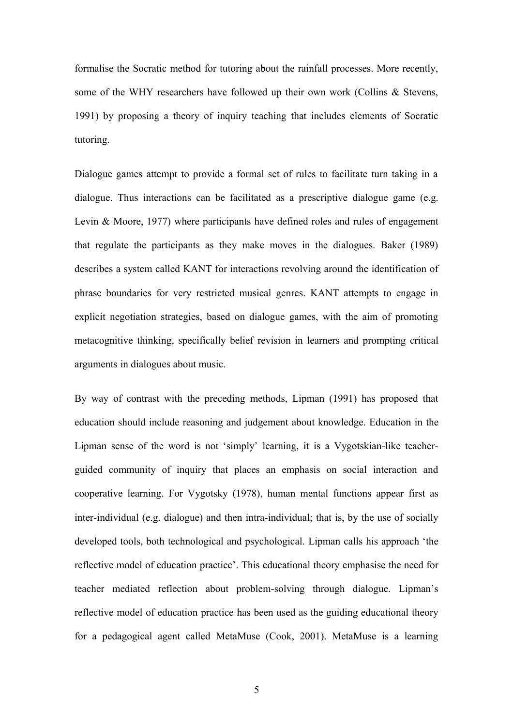formalise the Socratic method for tutoring about the rainfall processes. More recently, some of the WHY researchers have followed up their own work (Collins & Stevens, 1991) by proposing a theory of inquiry teaching that includes elements of Socratic tutoring.

Dialogue games attempt to provide a formal set of rules to facilitate turn taking in a dialogue. Thus interactions can be facilitated as a prescriptive dialogue game (e.g. Levin & Moore, 1977) where participants have defined roles and rules of engagement that regulate the participants as they make moves in the dialogues. Baker (1989) describes a system called KANT for interactions revolving around the identification of phrase boundaries for very restricted musical genres. KANT attempts to engage in explicit negotiation strategies, based on dialogue games, with the aim of promoting metacognitive thinking, specifically belief revision in learners and prompting critical arguments in dialogues about music.

By way of contrast with the preceding methods, Lipman (1991) has proposed that education should include reasoning and judgement about knowledge. Education in the Lipman sense of the word is not 'simply' learning, it is a Vygotskian-like teacherguided community of inquiry that places an emphasis on social interaction and cooperative learning. For Vygotsky (1978), human mental functions appear first as inter-individual (e.g. dialogue) and then intra-individual; that is, by the use of socially developed tools, both technological and psychological. Lipman calls his approach 'the reflective model of education practice'. This educational theory emphasise the need for teacher mediated reflection about problem-solving through dialogue. Lipman's reflective model of education practice has been used as the guiding educational theory for a pedagogical agent called MetaMuse (Cook, 2001). MetaMuse is a learning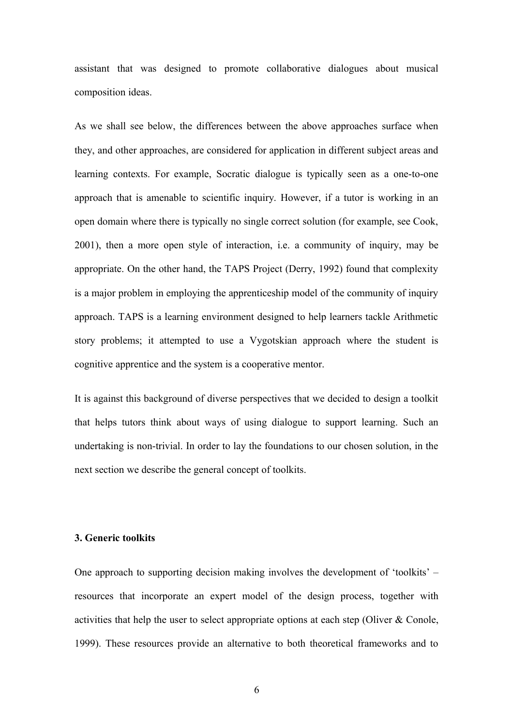assistant that was designed to promote collaborative dialogues about musical composition ideas.

As we shall see below, the differences between the above approaches surface when they, and other approaches, are considered for application in different subject areas and learning contexts. For example, Socratic dialogue is typically seen as a one-to-one approach that is amenable to scientific inquiry. However, if a tutor is working in an open domain where there is typically no single correct solution (for example, see Cook, 2001), then a more open style of interaction, i.e. a community of inquiry, may be appropriate. On the other hand, the TAPS Project (Derry, 1992) found that complexity is a major problem in employing the apprenticeship model of the community of inquiry approach. TAPS is a learning environment designed to help learners tackle Arithmetic story problems; it attempted to use a Vygotskian approach where the student is cognitive apprentice and the system is a cooperative mentor.

It is against this background of diverse perspectives that we decided to design a toolkit that helps tutors think about ways of using dialogue to support learning. Such an undertaking is non-trivial. In order to lay the foundations to our chosen solution, in the next section we describe the general concept of toolkits.

#### **3. Generic toolkits**

One approach to supporting decision making involves the development of 'toolkits' – resources that incorporate an expert model of the design process, together with activities that help the user to select appropriate options at each step (Oliver & Conole, 1999). These resources provide an alternative to both theoretical frameworks and to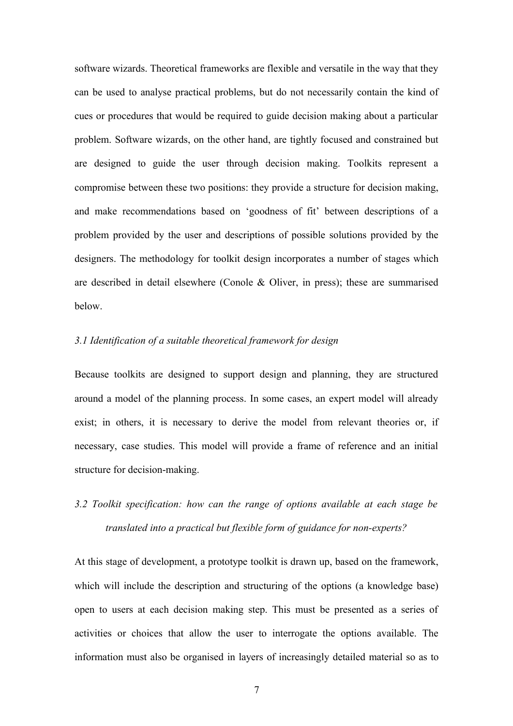software wizards. Theoretical frameworks are flexible and versatile in the way that they can be used to analyse practical problems, but do not necessarily contain the kind of cues or procedures that would be required to guide decision making about a particular problem. Software wizards, on the other hand, are tightly focused and constrained but are designed to guide the user through decision making. Toolkits represent a compromise between these two positions: they provide a structure for decision making, and make recommendations based on 'goodness of fit' between descriptions of a problem provided by the user and descriptions of possible solutions provided by the designers. The methodology for toolkit design incorporates a number of stages which are described in detail elsewhere (Conole & Oliver, in press); these are summarised below.

### *3.1 Identification of a suitable theoretical framework for design*

Because toolkits are designed to support design and planning, they are structured around a model of the planning process. In some cases, an expert model will already exist; in others, it is necessary to derive the model from relevant theories or, if necessary, case studies. This model will provide a frame of reference and an initial structure for decision-making.

# *3.2 Toolkit specification: how can the range of options available at each stage be translated into a practical but flexible form of guidance for non-experts?*

At this stage of development, a prototype toolkit is drawn up, based on the framework, which will include the description and structuring of the options (a knowledge base) open to users at each decision making step. This must be presented as a series of activities or choices that allow the user to interrogate the options available. The information must also be organised in layers of increasingly detailed material so as to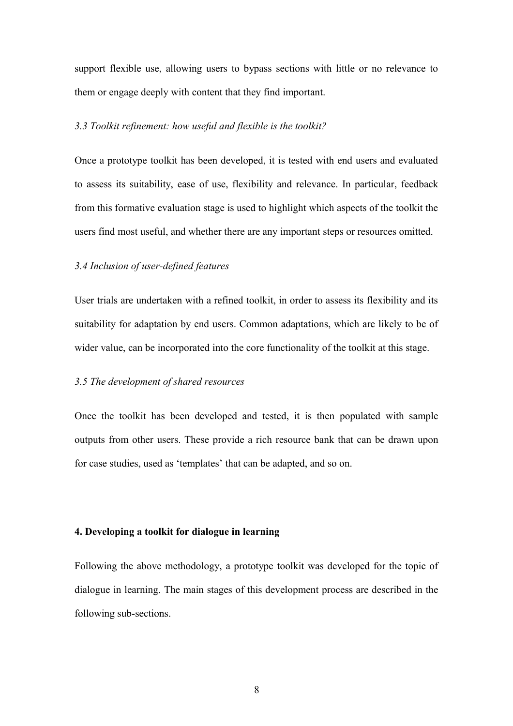support flexible use, allowing users to bypass sections with little or no relevance to them or engage deeply with content that they find important.

#### *3.3 Toolkit refinement: how useful and flexible is the toolkit?*

Once a prototype toolkit has been developed, it is tested with end users and evaluated to assess its suitability, ease of use, flexibility and relevance. In particular, feedback from this formative evaluation stage is used to highlight which aspects of the toolkit the users find most useful, and whether there are any important steps or resources omitted.

#### *3.4 Inclusion of user-defined features*

User trials are undertaken with a refined toolkit, in order to assess its flexibility and its suitability for adaptation by end users. Common adaptations, which are likely to be of wider value, can be incorporated into the core functionality of the toolkit at this stage.

# *3.5 The development of shared resources*

Once the toolkit has been developed and tested, it is then populated with sample outputs from other users. These provide a rich resource bank that can be drawn upon for case studies, used as 'templates' that can be adapted, and so on.

#### **4. Developing a toolkit for dialogue in learning**

Following the above methodology, a prototype toolkit was developed for the topic of dialogue in learning. The main stages of this development process are described in the following sub-sections.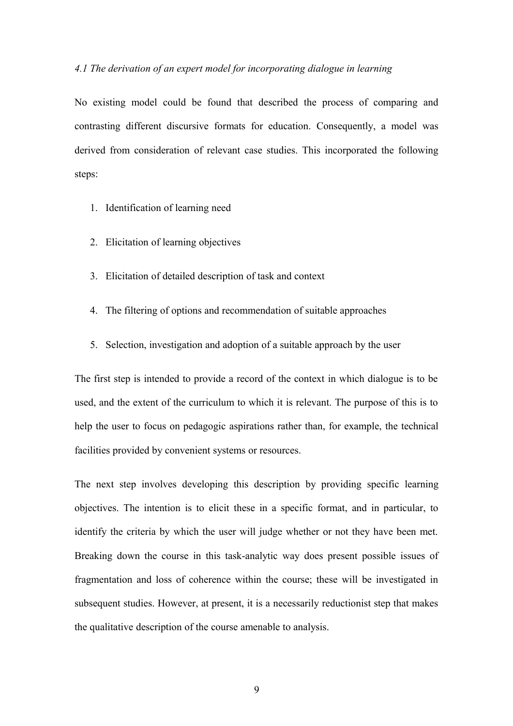#### *4.1 The derivation of an expert model for incorporating dialogue in learning*

No existing model could be found that described the process of comparing and contrasting different discursive formats for education. Consequently, a model was derived from consideration of relevant case studies. This incorporated the following steps:

- 1. Identification of learning need
- 2. Elicitation of learning objectives
- 3. Elicitation of detailed description of task and context
- 4. The filtering of options and recommendation of suitable approaches
- 5. Selection, investigation and adoption of a suitable approach by the user

The first step is intended to provide a record of the context in which dialogue is to be used, and the extent of the curriculum to which it is relevant. The purpose of this is to help the user to focus on pedagogic aspirations rather than, for example, the technical facilities provided by convenient systems or resources.

The next step involves developing this description by providing specific learning objectives. The intention is to elicit these in a specific format, and in particular, to identify the criteria by which the user will judge whether or not they have been met. Breaking down the course in this task-analytic way does present possible issues of fragmentation and loss of coherence within the course; these will be investigated in subsequent studies. However, at present, it is a necessarily reductionist step that makes the qualitative description of the course amenable to analysis.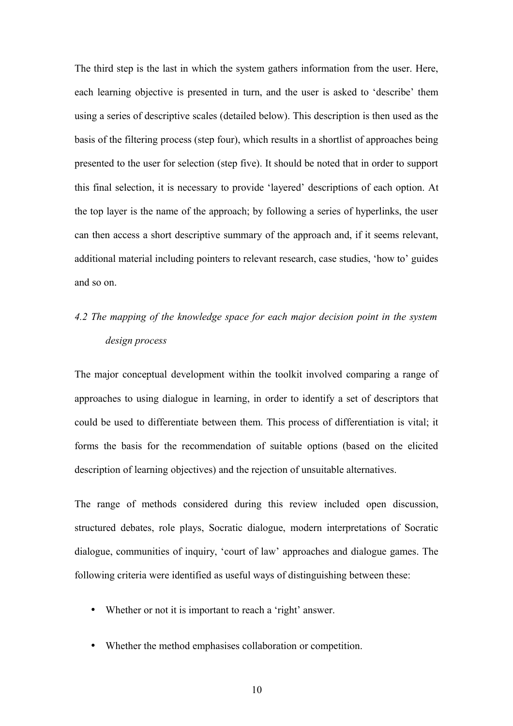The third step is the last in which the system gathers information from the user. Here, each learning objective is presented in turn, and the user is asked to 'describe' them using a series of descriptive scales (detailed below). This description is then used as the basis of the filtering process (step four), which results in a shortlist of approaches being presented to the user for selection (step five). It should be noted that in order to support this final selection, it is necessary to provide 'layered' descriptions of each option. At the top layer is the name of the approach; by following a series of hyperlinks, the user can then access a short descriptive summary of the approach and, if it seems relevant, additional material including pointers to relevant research, case studies, 'how to' guides and so on.

# *4.2 The mapping of the knowledge space for each major decision point in the system design process*

The major conceptual development within the toolkit involved comparing a range of approaches to using dialogue in learning, in order to identify a set of descriptors that could be used to differentiate between them. This process of differentiation is vital; it forms the basis for the recommendation of suitable options (based on the elicited description of learning objectives) and the rejection of unsuitable alternatives.

The range of methods considered during this review included open discussion, structured debates, role plays, Socratic dialogue, modern interpretations of Socratic dialogue, communities of inquiry, 'court of law' approaches and dialogue games. The following criteria were identified as useful ways of distinguishing between these:

- Whether or not it is important to reach a 'right' answer.
- Whether the method emphasises collaboration or competition.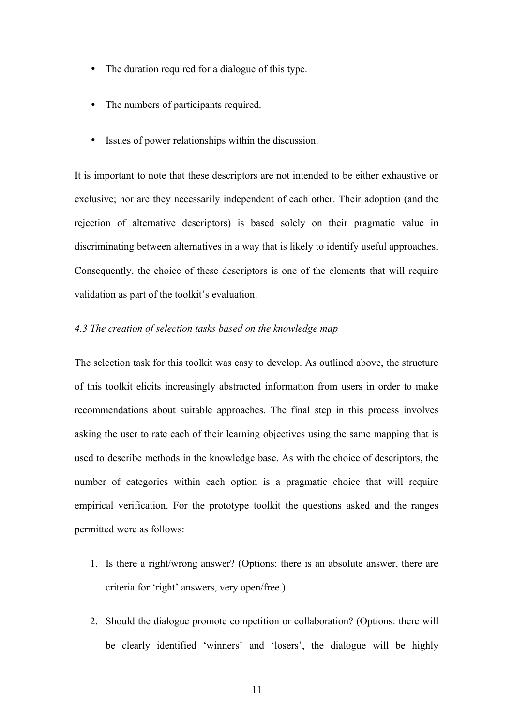- The duration required for a dialogue of this type.
- The numbers of participants required.
- Issues of power relationships within the discussion.

It is important to note that these descriptors are not intended to be either exhaustive or exclusive; nor are they necessarily independent of each other. Their adoption (and the rejection of alternative descriptors) is based solely on their pragmatic value in discriminating between alternatives in a way that is likely to identify useful approaches. Consequently, the choice of these descriptors is one of the elements that will require validation as part of the toolkit's evaluation.

### *4.3 The creation of selection tasks based on the knowledge map*

The selection task for this toolkit was easy to develop. As outlined above, the structure of this toolkit elicits increasingly abstracted information from users in order to make recommendations about suitable approaches. The final step in this process involves asking the user to rate each of their learning objectives using the same mapping that is used to describe methods in the knowledge base. As with the choice of descriptors, the number of categories within each option is a pragmatic choice that will require empirical verification. For the prototype toolkit the questions asked and the ranges permitted were as follows:

- 1. Is there a right/wrong answer? (Options: there is an absolute answer, there are criteria for 'right' answers, very open/free.)
- 2. Should the dialogue promote competition or collaboration? (Options: there will be clearly identified 'winners' and 'losers', the dialogue will be highly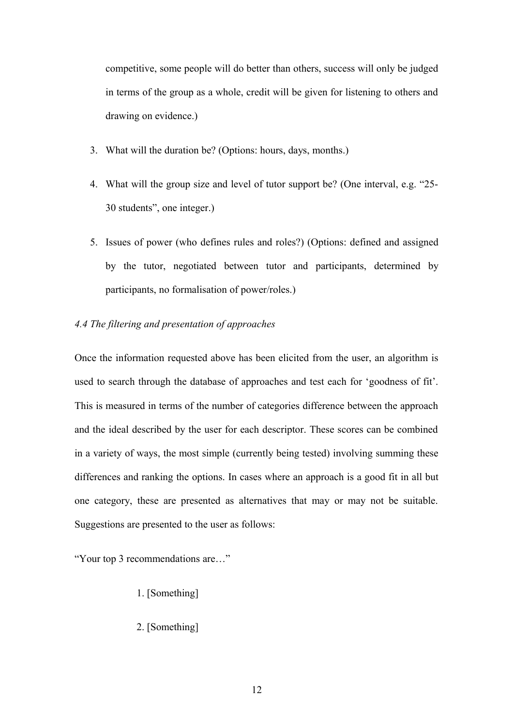competitive, some people will do better than others, success will only be judged in terms of the group as a whole, credit will be given for listening to others and drawing on evidence.)

- 3. What will the duration be? (Options: hours, days, months.)
- 4. What will the group size and level of tutor support be? (One interval, e.g. "25- 30 students", one integer.)
- 5. Issues of power (who defines rules and roles?) (Options: defined and assigned by the tutor, negotiated between tutor and participants, determined by participants, no formalisation of power/roles.)

# *4.4 The filtering and presentation of approaches*

Once the information requested above has been elicited from the user, an algorithm is used to search through the database of approaches and test each for 'goodness of fit'. This is measured in terms of the number of categories difference between the approach and the ideal described by the user for each descriptor. These scores can be combined in a variety of ways, the most simple (currently being tested) involving summing these differences and ranking the options. In cases where an approach is a good fit in all but one category, these are presented as alternatives that may or may not be suitable. Suggestions are presented to the user as follows:

"Your top 3 recommendations are…"

- 1. [Something]
- 2. [Something]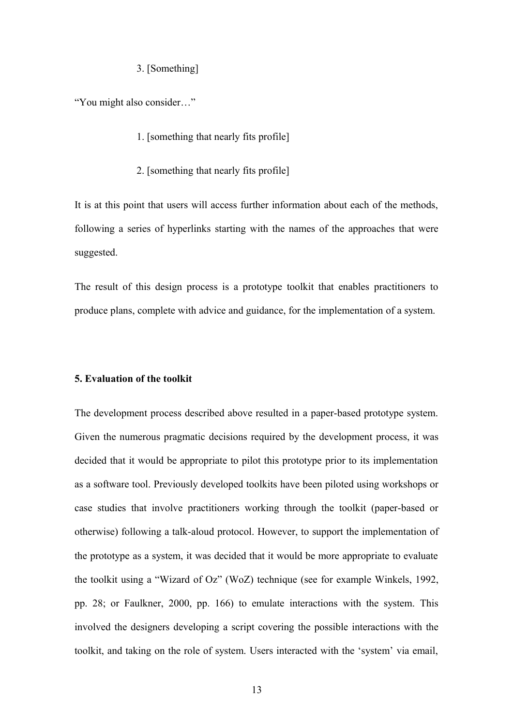#### 3. [Something]

"You might also consider…"

- 1. [something that nearly fits profile]
- 2. [something that nearly fits profile]

It is at this point that users will access further information about each of the methods, following a series of hyperlinks starting with the names of the approaches that were suggested.

The result of this design process is a prototype toolkit that enables practitioners to produce plans, complete with advice and guidance, for the implementation of a system.

#### **5. Evaluation of the toolkit**

The development process described above resulted in a paper-based prototype system. Given the numerous pragmatic decisions required by the development process, it was decided that it would be appropriate to pilot this prototype prior to its implementation as a software tool. Previously developed toolkits have been piloted using workshops or case studies that involve practitioners working through the toolkit (paper-based or otherwise) following a talk-aloud protocol. However, to support the implementation of the prototype as a system, it was decided that it would be more appropriate to evaluate the toolkit using a "Wizard of Oz" (WoZ) technique (see for example Winkels, 1992, pp. 28; or Faulkner, 2000, pp. 166) to emulate interactions with the system. This involved the designers developing a script covering the possible interactions with the toolkit, and taking on the role of system. Users interacted with the 'system' via email,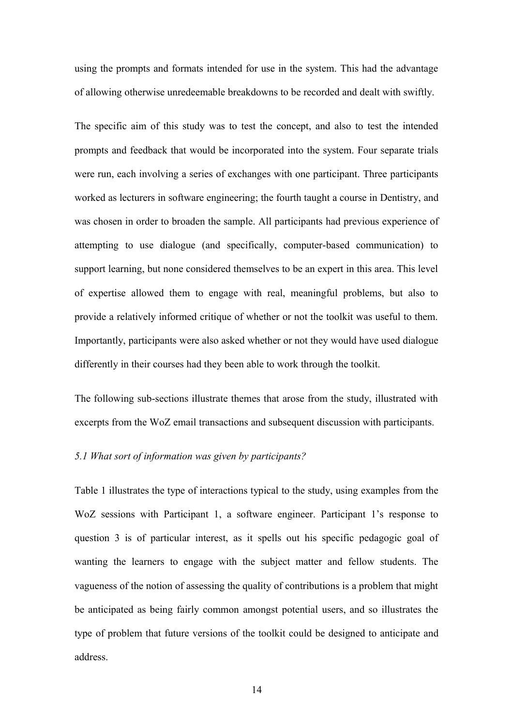using the prompts and formats intended for use in the system. This had the advantage of allowing otherwise unredeemable breakdowns to be recorded and dealt with swiftly.

The specific aim of this study was to test the concept, and also to test the intended prompts and feedback that would be incorporated into the system. Four separate trials were run, each involving a series of exchanges with one participant. Three participants worked as lecturers in software engineering; the fourth taught a course in Dentistry, and was chosen in order to broaden the sample. All participants had previous experience of attempting to use dialogue (and specifically, computer-based communication) to support learning, but none considered themselves to be an expert in this area. This level of expertise allowed them to engage with real, meaningful problems, but also to provide a relatively informed critique of whether or not the toolkit was useful to them. Importantly, participants were also asked whether or not they would have used dialogue differently in their courses had they been able to work through the toolkit.

The following sub-sections illustrate themes that arose from the study, illustrated with excerpts from the WoZ email transactions and subsequent discussion with participants.

#### *5.1 What sort of information was given by participants?*

Table 1 illustrates the type of interactions typical to the study, using examples from the WoZ sessions with Participant 1, a software engineer. Participant 1's response to question 3 is of particular interest, as it spells out his specific pedagogic goal of wanting the learners to engage with the subject matter and fellow students. The vagueness of the notion of assessing the quality of contributions is a problem that might be anticipated as being fairly common amongst potential users, and so illustrates the type of problem that future versions of the toolkit could be designed to anticipate and address.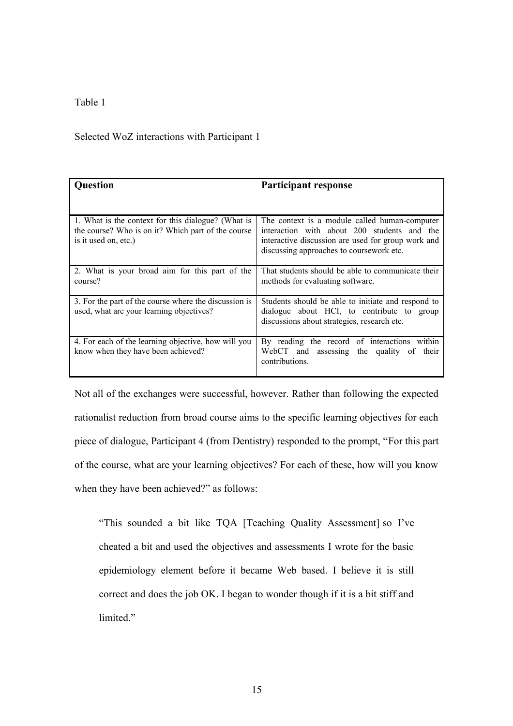# Table 1

# Selected WoZ interactions with Participant 1

| <b>Question</b>                                                                                                                  | <b>Participant response</b>                                                                                                                                                                     |
|----------------------------------------------------------------------------------------------------------------------------------|-------------------------------------------------------------------------------------------------------------------------------------------------------------------------------------------------|
|                                                                                                                                  |                                                                                                                                                                                                 |
| 1. What is the context for this dialogue? (What is<br>the course? Who is on it? Which part of the course<br>is it used on, etc.) | The context is a module called human-computer<br>interaction with about 200 students and the<br>interactive discussion are used for group work and<br>discussing approaches to course work etc. |
| 2. What is your broad aim for this part of the<br>course?                                                                        | That students should be able to communicate their<br>methods for evaluating software.                                                                                                           |
| 3. For the part of the course where the discussion is<br>used, what are your learning objectives?                                | Students should be able to initiate and respond to<br>dialogue about HCI, to contribute to group<br>discussions about strategies, research etc.                                                 |
| 4. For each of the learning objective, how will you<br>know when they have been achieved?                                        | By reading the record of interactions within<br>WebCT and assessing the quality of<br>their<br>contributions.                                                                                   |

Not all of the exchanges were successful, however. Rather than following the expected rationalist reduction from broad course aims to the specific learning objectives for each piece of dialogue, Participant 4 (from Dentistry) responded to the prompt, "For this part of the course, what are your learning objectives? For each of these, how will you know when they have been achieved?" as follows:

"This sounded a bit like TQA [Teaching Quality Assessment] so I've cheated a bit and used the objectives and assessments I wrote for the basic epidemiology element before it became Web based. I believe it is still correct and does the job OK. I began to wonder though if it is a bit stiff and limited."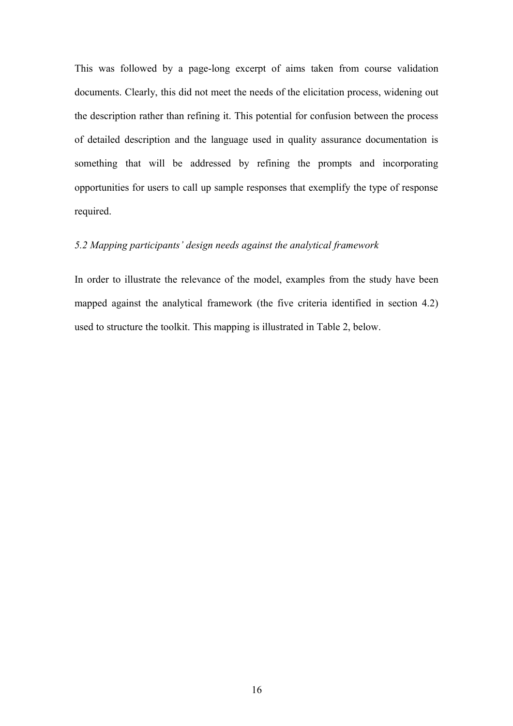This was followed by a page-long excerpt of aims taken from course validation documents. Clearly, this did not meet the needs of the elicitation process, widening out the description rather than refining it. This potential for confusion between the process of detailed description and the language used in quality assurance documentation is something that will be addressed by refining the prompts and incorporating opportunities for users to call up sample responses that exemplify the type of response required.

# *5.2 Mapping participants' design needs against the analytical framework*

In order to illustrate the relevance of the model, examples from the study have been mapped against the analytical framework (the five criteria identified in section 4.2) used to structure the toolkit. This mapping is illustrated in Table 2, below.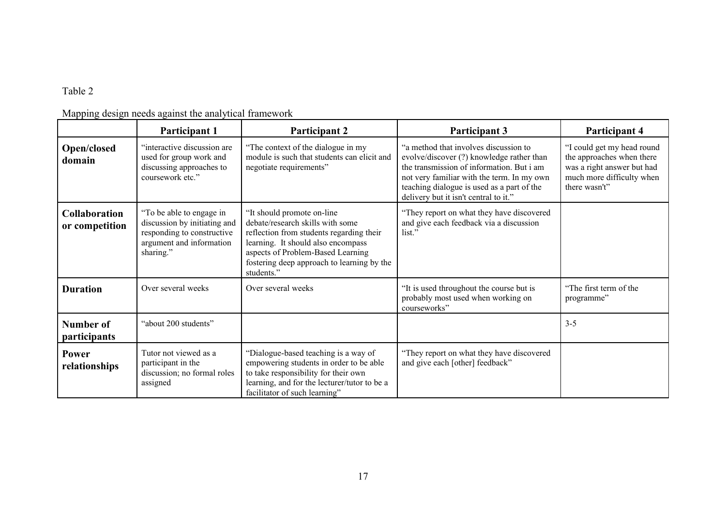# Table 2

|  |  | Mapping design needs against the analytical framework |
|--|--|-------------------------------------------------------|
|  |  |                                                       |

|                                        | Participant 1                                                                                                                   | <b>Participant 2</b>                                                                                                                                                                                                                               | <b>Participant 3</b>                                                                                                                                                                                                                                                 | Participant 4                                                                                                                       |
|----------------------------------------|---------------------------------------------------------------------------------------------------------------------------------|----------------------------------------------------------------------------------------------------------------------------------------------------------------------------------------------------------------------------------------------------|----------------------------------------------------------------------------------------------------------------------------------------------------------------------------------------------------------------------------------------------------------------------|-------------------------------------------------------------------------------------------------------------------------------------|
| <b>Open/closed</b><br>domain           | "interactive discussion are<br>used for group work and<br>discussing approaches to<br>coursework etc."                          | "The context of the dialogue in my<br>module is such that students can elicit and<br>negotiate requirements"                                                                                                                                       | "a method that involves discussion to<br>evolve/discover (?) knowledge rather than<br>the transmission of information. But i am<br>not very familiar with the term. In my own<br>teaching dialogue is used as a part of the<br>delivery but it isn't central to it." | "I could get my head round<br>the approaches when there<br>was a right answer but had<br>much more difficulty when<br>there wasn't" |
| <b>Collaboration</b><br>or competition | "To be able to engage in<br>discussion by initiating and<br>responding to constructive<br>argument and information<br>sharing." | "It should promote on-line"<br>debate/research skills with some<br>reflection from students regarding their<br>learning. It should also encompass<br>aspects of Problem-Based Learning<br>fostering deep approach to learning by the<br>students." | "They report on what they have discovered<br>and give each feedback via a discussion<br>list."                                                                                                                                                                       |                                                                                                                                     |
| <b>Duration</b>                        | Over several weeks                                                                                                              | Over several weeks                                                                                                                                                                                                                                 | "It is used throughout the course but is<br>probably most used when working on<br>courseworks"                                                                                                                                                                       | "The first term of the<br>programme"                                                                                                |
| Number of<br>participants              | "about 200 students"                                                                                                            |                                                                                                                                                                                                                                                    |                                                                                                                                                                                                                                                                      | $3 - 5$                                                                                                                             |
| Power<br>relationships                 | Tutor not viewed as a<br>participant in the<br>discussion; no formal roles<br>assigned                                          | "Dialogue-based teaching is a way of<br>empowering students in order to be able<br>to take responsibility for their own<br>learning, and for the lecturer/tutor to be a<br>facilitator of such learning"                                           | "They report on what they have discovered<br>and give each [other] feedback"                                                                                                                                                                                         |                                                                                                                                     |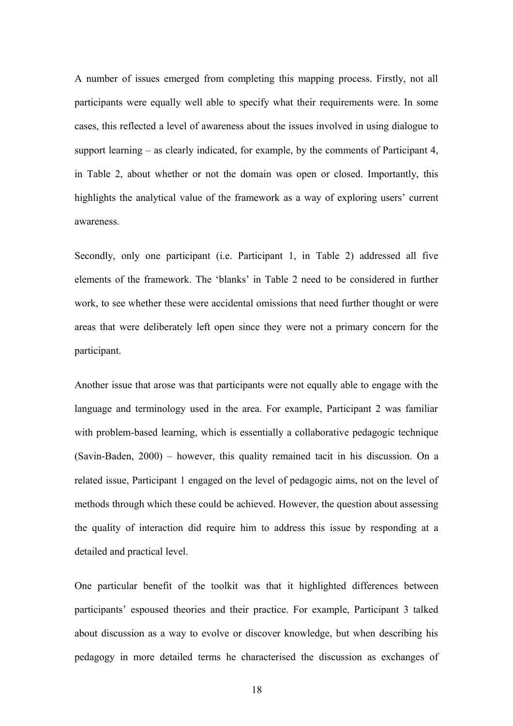A number of issues emerged from completing this mapping process. Firstly, not all participants were equally well able to specify what their requirements were. In some cases, this reflected a level of awareness about the issues involved in using dialogue to support learning – as clearly indicated, for example, by the comments of Participant 4, in Table 2, about whether or not the domain was open or closed. Importantly, this highlights the analytical value of the framework as a way of exploring users' current awareness.

Secondly, only one participant (i.e. Participant 1, in Table 2) addressed all five elements of the framework. The 'blanks' in Table 2 need to be considered in further work, to see whether these were accidental omissions that need further thought or were areas that were deliberately left open since they were not a primary concern for the participant.

Another issue that arose was that participants were not equally able to engage with the language and terminology used in the area. For example, Participant 2 was familiar with problem-based learning, which is essentially a collaborative pedagogic technique (Savin-Baden, 2000) – however, this quality remained tacit in his discussion. On a related issue, Participant 1 engaged on the level of pedagogic aims, not on the level of methods through which these could be achieved. However, the question about assessing the quality of interaction did require him to address this issue by responding at a detailed and practical level.

One particular benefit of the toolkit was that it highlighted differences between participants' espoused theories and their practice. For example, Participant 3 talked about discussion as a way to evolve or discover knowledge, but when describing his pedagogy in more detailed terms he characterised the discussion as exchanges of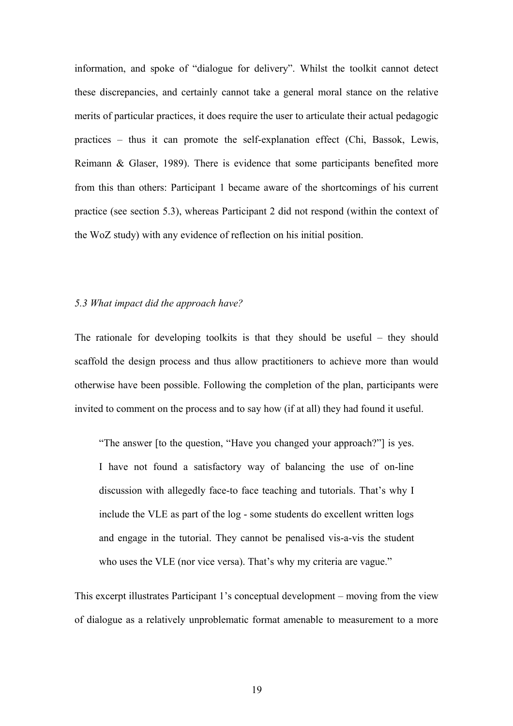information, and spoke of "dialogue for delivery". Whilst the toolkit cannot detect these discrepancies, and certainly cannot take a general moral stance on the relative merits of particular practices, it does require the user to articulate their actual pedagogic practices – thus it can promote the self-explanation effect (Chi, Bassok, Lewis, Reimann & Glaser, 1989). There is evidence that some participants benefited more from this than others: Participant 1 became aware of the shortcomings of his current practice (see section 5.3), whereas Participant 2 did not respond (within the context of the WoZ study) with any evidence of reflection on his initial position.

#### *5.3 What impact did the approach have?*

The rationale for developing toolkits is that they should be useful – they should scaffold the design process and thus allow practitioners to achieve more than would otherwise have been possible. Following the completion of the plan, participants were invited to comment on the process and to say how (if at all) they had found it useful.

"The answer [to the question, "Have you changed your approach?"] is yes. I have not found a satisfactory way of balancing the use of on-line discussion with allegedly face-to face teaching and tutorials. That's why I include the VLE as part of the log - some students do excellent written logs and engage in the tutorial. They cannot be penalised vis-a-vis the student who uses the VLE (nor vice versa). That's why my criteria are vague."

This excerpt illustrates Participant 1's conceptual development – moving from the view of dialogue as a relatively unproblematic format amenable to measurement to a more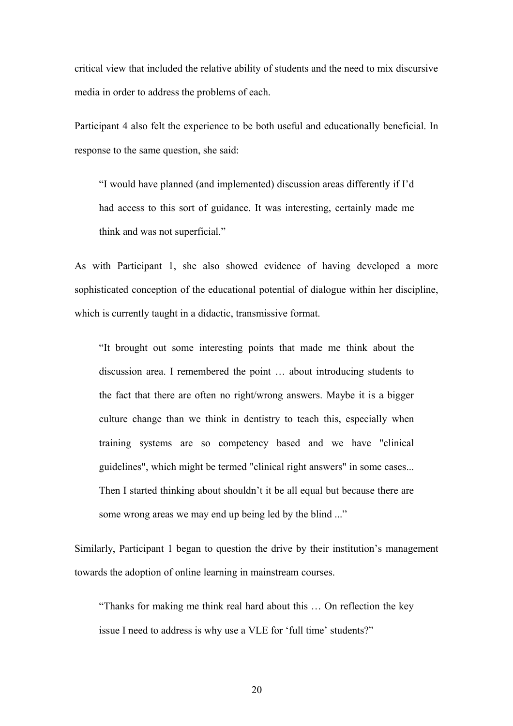critical view that included the relative ability of students and the need to mix discursive media in order to address the problems of each.

Participant 4 also felt the experience to be both useful and educationally beneficial. In response to the same question, she said:

"I would have planned (and implemented) discussion areas differently if I'd had access to this sort of guidance. It was interesting, certainly made me think and was not superficial."

As with Participant 1, she also showed evidence of having developed a more sophisticated conception of the educational potential of dialogue within her discipline, which is currently taught in a didactic, transmissive format.

"It brought out some interesting points that made me think about the discussion area. I remembered the point … about introducing students to the fact that there are often no right/wrong answers. Maybe it is a bigger culture change than we think in dentistry to teach this, especially when training systems are so competency based and we have "clinical guidelines", which might be termed "clinical right answers" in some cases... Then I started thinking about shouldn't it be all equal but because there are some wrong areas we may end up being led by the blind ..."

Similarly, Participant 1 began to question the drive by their institution's management towards the adoption of online learning in mainstream courses.

"Thanks for making me think real hard about this … On reflection the key issue I need to address is why use a VLE for 'full time' students?"

20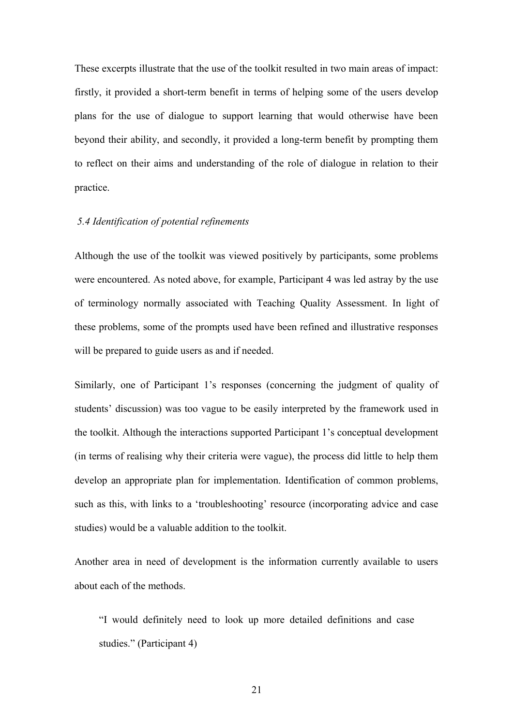These excerpts illustrate that the use of the toolkit resulted in two main areas of impact: firstly, it provided a short-term benefit in terms of helping some of the users develop plans for the use of dialogue to support learning that would otherwise have been beyond their ability, and secondly, it provided a long-term benefit by prompting them to reflect on their aims and understanding of the role of dialogue in relation to their practice.

# *5.4 Identification of potential refinements*

Although the use of the toolkit was viewed positively by participants, some problems were encountered. As noted above, for example, Participant 4 was led astray by the use of terminology normally associated with Teaching Quality Assessment. In light of these problems, some of the prompts used have been refined and illustrative responses will be prepared to guide users as and if needed.

Similarly, one of Participant 1's responses (concerning the judgment of quality of students' discussion) was too vague to be easily interpreted by the framework used in the toolkit. Although the interactions supported Participant 1's conceptual development (in terms of realising why their criteria were vague), the process did little to help them develop an appropriate plan for implementation. Identification of common problems, such as this, with links to a 'troubleshooting' resource (incorporating advice and case studies) would be a valuable addition to the toolkit.

Another area in need of development is the information currently available to users about each of the methods.

"I would definitely need to look up more detailed definitions and case studies." (Participant 4)

21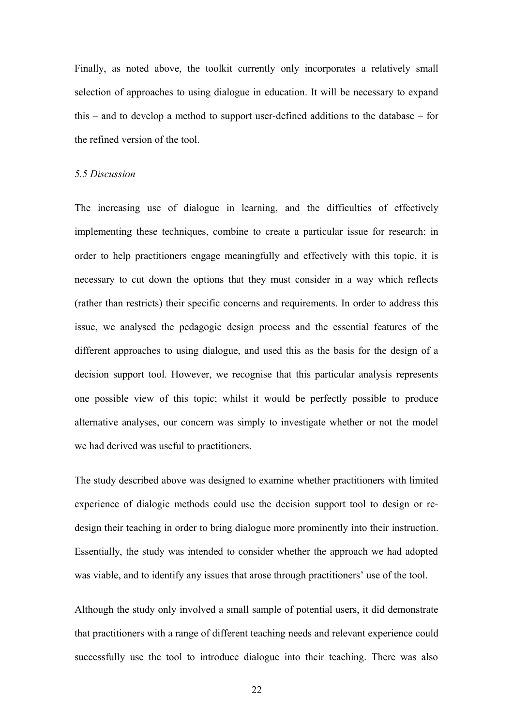Finally, as noted above, the toolkit currently only incorporates a relatively small selection of approaches to using dialogue in education. It will be necessary to expand this – and to develop a method to support user-defined additions to the database – for the refined version of the tool.

#### *5.5 Discussion*

The increasing use of dialogue in learning, and the difficulties of effectively implementing these techniques, combine to create a particular issue for research: in order to help practitioners engage meaningfully and effectively with this topic, it is necessary to cut down the options that they must consider in a way which reflects (rather than restricts) their specific concerns and requirements. In order to address this issue, we analysed the pedagogic design process and the essential features of the different approaches to using dialogue, and used this as the basis for the design of a decision support tool. However, we recognise that this particular analysis represents one possible view of this topic; whilst it would be perfectly possible to produce alternative analyses, our concern was simply to investigate whether or not the model we had derived was useful to practitioners.

The study described above was designed to examine whether practitioners with limited experience of dialogic methods could use the decision support tool to design or redesign their teaching in order to bring dialogue more prominently into their instruction. Essentially, the study was intended to consider whether the approach we had adopted was viable, and to identify any issues that arose through practitioners' use of the tool.

Although the study only involved a small sample of potential users, it did demonstrate that practitioners with a range of different teaching needs and relevant experience could successfully use the tool to introduce dialogue into their teaching. There was also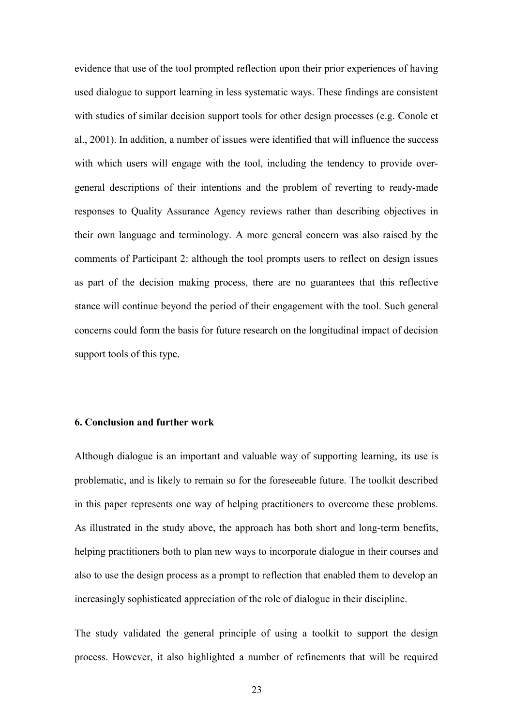evidence that use of the tool prompted reflection upon their prior experiences of having used dialogue to support learning in less systematic ways. These findings are consistent with studies of similar decision support tools for other design processes (e.g. Conole et al., 2001). In addition, a number of issues were identified that will influence the success with which users will engage with the tool, including the tendency to provide overgeneral descriptions of their intentions and the problem of reverting to ready-made responses to Quality Assurance Agency reviews rather than describing objectives in their own language and terminology. A more general concern was also raised by the comments of Participant 2: although the tool prompts users to reflect on design issues as part of the decision making process, there are no guarantees that this reflective stance will continue beyond the period of their engagement with the tool. Such general concerns could form the basis for future research on the longitudinal impact of decision support tools of this type.

# **6. Conclusion and further work**

Although dialogue is an important and valuable way of supporting learning, its use is problematic, and is likely to remain so for the foreseeable future. The toolkit described in this paper represents one way of helping practitioners to overcome these problems. As illustrated in the study above, the approach has both short and long-term benefits, helping practitioners both to plan new ways to incorporate dialogue in their courses and also to use the design process as a prompt to reflection that enabled them to develop an increasingly sophisticated appreciation of the role of dialogue in their discipline.

The study validated the general principle of using a toolkit to support the design process. However, it also highlighted a number of refinements that will be required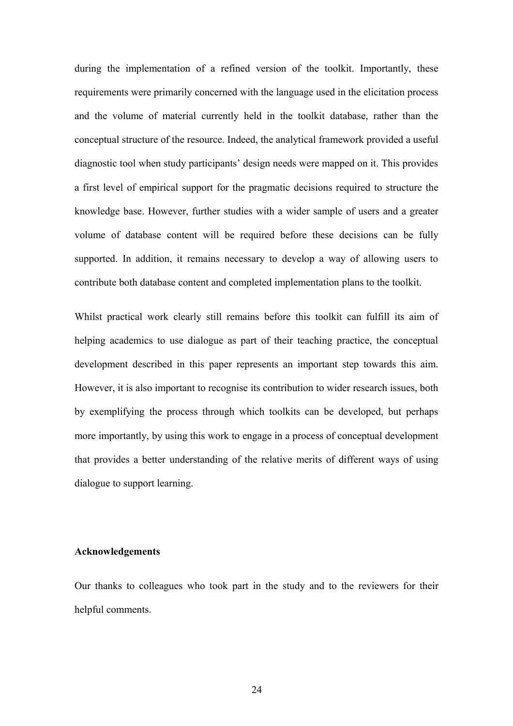during the implementation of a refined version of the toolkit. Importantly, these requirements were primarily concerned with the language used in the elicitation process and the volume of material currently held in the toolkit database, rather than the conceptual structure of the resource. Indeed, the analytical framework provided a useful diagnostic tool when study participants' design needs were mapped on it. This provides a first level of empirical support for the pragmatic decisions required to structure the knowledge base. However, further studies with a wider sample of users and a greater volume of database content will be required before these decisions can be fully supported. In addition, it remains necessary to develop a way of allowing users to contribute both database content and completed implementation plans to the toolkit.

Whilst practical work clearly still remains before this toolkit can fulfill its aim of helping academics to use dialogue as part of their teaching practice, the conceptual development described in this paper represents an important step towards this aim. However, it is also important to recognise its contribution to wider research issues, both by exemplifying the process through which toolkits can be developed, but perhaps more importantly, by using this work to engage in a process of conceptual development that provides a better understanding of the relative merits of different ways of using dialogue to support learning.

#### **Acknowledgements**

Our thanks to colleagues who took part in the study and to the reviewers for their helpful comments.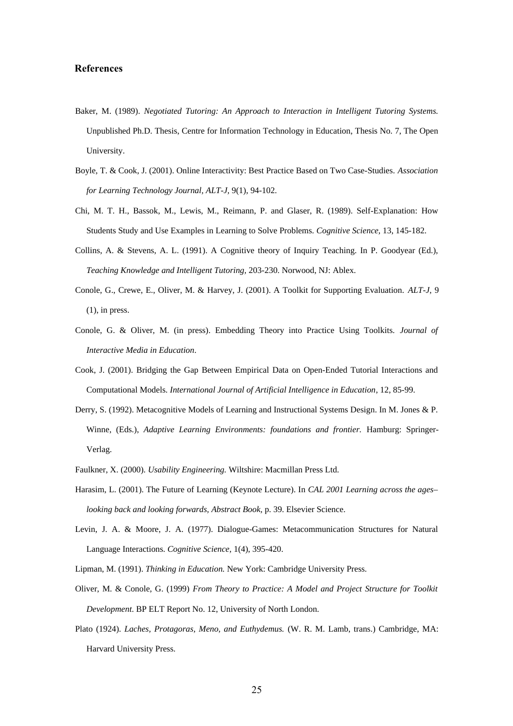#### **References**

- Baker, M. (1989). *Negotiated Tutoring: An Approach to Interaction in Intelligent Tutoring Systems.* Unpublished Ph.D. Thesis, Centre for Information Technology in Education, Thesis No. 7, The Open University.
- Boyle, T. & Cook, J. (2001). Online Interactivity: Best Practice Based on Two Case-Studies. *Association for Learning Technology Journal, ALT-J,* 9(1), 94-102.
- Chi, M. T. H., Bassok, M., Lewis, M., Reimann, P. and Glaser, R. (1989). Self-Explanation: How Students Study and Use Examples in Learning to Solve Problems. *Cognitive Science,* 13, 145-182.
- Collins, A. & Stevens, A. L. (1991). A Cognitive theory of Inquiry Teaching. In P. Goodyear (Ed.), *Teaching Knowledge and Intelligent Tutoring,* 203-230. Norwood, NJ: Ablex.
- Conole, G., Crewe, E., Oliver, M. & Harvey, J. (2001). A Toolkit for Supporting Evaluation. *ALT-J*, 9  $(1)$ , in press.
- Conole, G. & Oliver, M. (in press). Embedding Theory into Practice Using Toolkits. *Journal of Interactive Media in Education*.
- Cook, J. (2001). Bridging the Gap Between Empirical Data on Open-Ended Tutorial Interactions and Computational Models. *International Journal of Artificial Intelligence in Education*, 12, 85-99.
- Derry, S. (1992). Metacognitive Models of Learning and Instructional Systems Design. In M. Jones & P. Winne, (Eds.), *Adaptive Learning Environments: foundations and frontier*. Hamburg: Springer-Verlag.
- Faulkner, X. (2000). *Usability Engineering.* Wiltshire: Macmillan Press Ltd.
- Harasim, L. (2001). The Future of Learning (Keynote Lecture). In *CAL 2001 Learning across the ages– looking back and looking forwards, Abstract Book,* p. 39. Elsevier Science.
- Levin, J. A. & Moore, J. A. (1977). Dialogue-Games: Metacommunication Structures for Natural Language Interactions. *Cognitive Science,* 1(4), 395-420.
- Lipman, M. (1991). *Thinking in Education.* New York: Cambridge University Press.
- Oliver, M. & Conole, G. (1999) *From Theory to Practice: A Model and Project Structure for Toolkit Development*. BP ELT Report No. 12, University of North London.
- Plato (1924). *Laches, Protagoras, Meno, and Euthydemus.* (W. R. M. Lamb, trans.) Cambridge, MA: Harvard University Press.